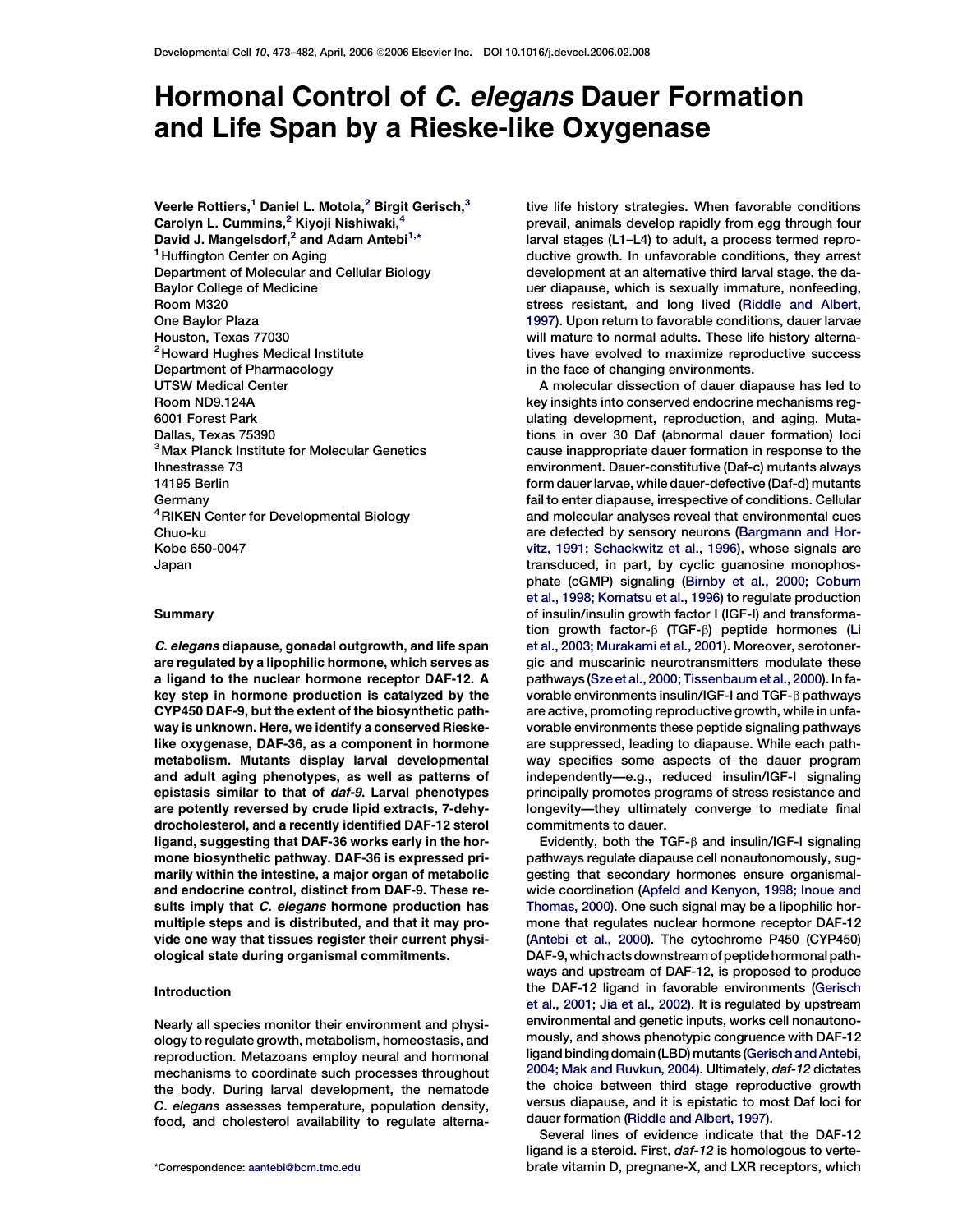# Hormonal Control of C. elegans Dauer Formation and Life Span by a Rieske-like Oxygenase

Veerle Rottiers,<sup>1</sup> Daniel L. Motola,<sup>2</sup> Birgit Gerisch.<sup>3</sup> Carolyn L. Cummins,<sup>2</sup> Kiyoji Nishiwaki,<sup>4</sup> David J. Mangelsdorf,<sup>2</sup> and Adam Antebi<sup>1,\*</sup> <sup>1</sup> Huffington Center on Aging Department of Molecular and Cellular Biology Baylor College of Medicine Room M320 One Baylor Plaza Houston, Texas 77030 <sup>2</sup> Howard Hughes Medical Institute Department of Pharmacology UTSW Medical Center Room ND9.124A 6001 Forest Park Dallas, Texas 75390 <sup>3</sup> Max Planck Institute for Molecular Genetics Ihnestrasse 73 14195 Berlin Germany <sup>4</sup>RIKEN Center for Developmental Biology Chuo-ku Kobe 650-0047 Japan

## **Summary**

C. elegans diapause, gonadal outgrowth, and life span are regulated by a lipophilic hormone, which serves as a ligand to the nuclear hormone receptor DAF-12. A key step in hormone production is catalyzed by the CYP450 DAF-9, but the extent of the biosynthetic pathway is unknown. Here, we identify a conserved Rieskelike oxygenase, DAF-36, as a component in hormone metabolism. Mutants display larval developmental and adult aging phenotypes, as well as patterns of epistasis similar to that of daf-9. Larval phenotypes are potently reversed by crude lipid extracts, 7-dehydrocholesterol, and a recently identified DAF-12 sterol ligand, suggesting that DAF-36 works early in the hormone biosynthetic pathway. DAF-36 is expressed primarily within the intestine, a major organ of metabolic and endocrine control, distinct from DAF-9. These results imply that C. elegans hormone production has multiple steps and is distributed, and that it may provide one way that tissues register their current physiological state during organismal commitments.

# Introduction

Nearly all species monitor their environment and physiology to regulate growth, metabolism, homeostasis, and reproduction. Metazoans employ neural and hormonal mechanisms to coordinate such processes throughout the body. During larval development, the nematode C. elegans assesses temperature, population density, food, and cholesterol availability to regulate alterna-

tive life history strategies. When favorable conditions prevail, animals develop rapidly from egg through four larval stages (L1–L4) to adult, a process termed reproductive growth. In unfavorable conditions, they arrest development at an alternative third larval stage, the dauer diapause, which is sexually immature, nonfeeding, stress resistant, and long lived [\(Riddle and Albert,](#page-9-0) [1997\)](#page-9-0). Upon return to favorable conditions, dauer larvae will mature to normal adults. These life history alternatives have evolved to maximize reproductive success in the face of changing environments.

A molecular dissection of dauer diapause has led to key insights into conserved endocrine mechanisms regulating development, reproduction, and aging. Mutations in over 30 Daf (abnormal dauer formation) loci cause inappropriate dauer formation in response to the environment. Dauer-constitutive (Daf-c) mutants always form dauer larvae, while dauer-defective (Daf-d) mutants fail to enter diapause, irrespective of conditions. Cellular and molecular analyses reveal that environmental cues are detected by sensory neurons ([Bargmann and Hor](#page-9-0)[vitz, 1991; Schackwitz et al., 1996\)](#page-9-0), whose signals are transduced, in part, by cyclic guanosine monophosphate (cGMP) signaling ([Birnby et al., 2000; Coburn](#page-9-0) [et al., 1998; Komatsu et al., 1996\)](#page-9-0) to regulate production of insulin/insulin growth factor I (IGF-I) and transformation growth factor- $\beta$  (TGF- $\beta$ ) peptide hormones ([Li](#page-9-0) [et al., 2003; Murakami et al., 2001\)](#page-9-0). Moreover, serotonergic and muscarinic neurotransmitters modulate these pathways ([Sze et al., 2000; Tissenbaum et al., 2000](#page-9-0)). In favorable environments insulin/IGF-I and TGF- $\beta$  pathways are active, promoting reproductive growth, while in unfavorable environments these peptide signaling pathways are suppressed, leading to diapause. While each pathway specifies some aspects of the dauer program independently—e.g., reduced insulin/IGF-I signaling principally promotes programs of stress resistance and longevity—they ultimately converge to mediate final commitments to dauer.

Evidently, both the TGF- $\beta$  and insulin/IGF-I signaling pathways regulate diapause cell nonautonomously, suggesting that secondary hormones ensure organismalwide coordination [\(Apfeld and Kenyon, 1998; Inoue and](#page-9-0) [Thomas, 2000](#page-9-0)). One such signal may be a lipophilic hormone that regulates nuclear hormone receptor DAF-12 ([Antebi et al., 2000\)](#page-8-0). The cytochrome P450 (CYP450) DAF-9, which acts downstream of peptide hormonal pathways and upstream of DAF-12, is proposed to produce the DAF-12 ligand in favorable environments [\(Gerisch](#page-9-0) [et al., 2001; Jia et al., 2002\)](#page-9-0). It is regulated by upstream environmental and genetic inputs, works cell nonautonomously, and shows phenotypic congruence with DAF-12 ligand binding domain (LBD) mutants [\(Gerisch and Antebi,](#page-9-0) [2004; Mak and Ruvkun, 2004](#page-9-0)). Ultimately, daf-12 dictates the choice between third stage reproductive growth versus diapause, and it is epistatic to most Daf loci for dauer formation [\(Riddle and Albert, 1997](#page-9-0)).

Several lines of evidence indicate that the DAF-12 ligand is a steroid. First, daf-12 is homologous to verte- \*Correspondence: [aantebi@bcm.tmc.edu](mailto:aantebi@bcm.tmc.edu) brate vitamin D, pregnane-X, and LXR receptors, which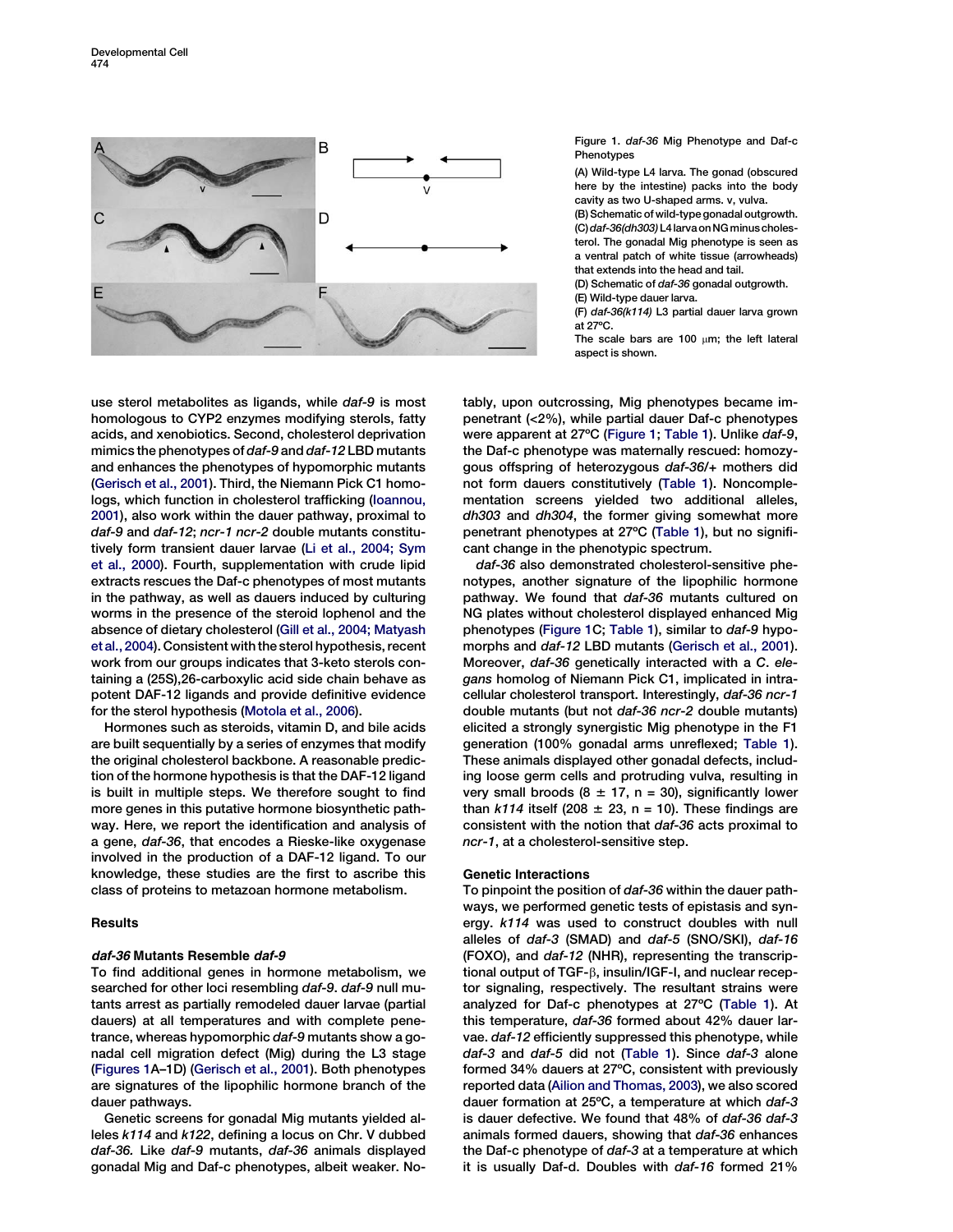

Figure 1. daf-36 Mig Phenotype and Daf-c Phenotypes

(A) Wild-type L4 larva. The gonad (obscured here by the intestine) packs into the body cavity as two U-shaped arms. v, vulva. (B) Schematic of wild-type gonadal outgrowth. (C) daf-36(dh303) L4 larva on NG minus cholesterol. The gonadal Mig phenotype is seen as

a ventral patch of white tissue (arrowheads) that extends into the head and tail. (D) Schematic of daf-36 gonadal outgrowth.

(E) Wild-type dauer larva.

(F) daf-36(k114) L3 partial dauer larva grown at 27ºC.

The scale bars are 100  $\mu$ m; the left lateral aspect is shown.

use sterol metabolites as ligands, while daf-9 is most homologous to CYP2 enzymes modifying sterols, fatty acids, and xenobiotics. Second, cholesterol deprivation mimics the phenotypes of daf-9 and daf-12 LBD mutants and enhances the phenotypes of hypomorphic mutants ([Gerisch et al., 2001\)](#page-9-0). Third, the Niemann Pick C1 homologs, which function in cholesterol trafficking ([Ioannou,](#page-9-0) [2001](#page-9-0)), also work within the dauer pathway, proximal to daf-9 and daf-12; ncr-1 ncr-2 double mutants constitutively form transient dauer larvae [\(Li et al., 2004; Sym](#page-9-0) [et al., 2000](#page-9-0)). Fourth, supplementation with crude lipid extracts rescues the Daf-c phenotypes of most mutants in the pathway, as well as dauers induced by culturing worms in the presence of the steroid lophenol and the absence of dietary cholesterol ([Gill et al., 2004; Matyash](#page-9-0) [et al., 2004\)](#page-9-0). Consistent with the sterol hypothesis, recent work from our groups indicates that 3-keto sterols containing a (25S),26-carboxylic acid side chain behave as potent DAF-12 ligands and provide definitive evidence for the sterol hypothesis [\(Motola et al., 2006](#page-9-0)).

Hormones such as steroids, vitamin D, and bile acids are built sequentially by a series of enzymes that modify the original cholesterol backbone. A reasonable prediction of the hormone hypothesis is that the DAF-12 ligand is built in multiple steps. We therefore sought to find more genes in this putative hormone biosynthetic pathway. Here, we report the identification and analysis of a gene, daf-36, that encodes a Rieske-like oxygenase involved in the production of a DAF-12 ligand. To our knowledge, these studies are the first to ascribe this class of proteins to metazoan hormone metabolism.

# **Results**

# daf-36 Mutants Resemble daf-9

To find additional genes in hormone metabolism, we searched for other loci resembling daf-9. daf-9 null mutants arrest as partially remodeled dauer larvae (partial dauers) at all temperatures and with complete penetrance, whereas hypomorphic daf-9 mutants show a gonadal cell migration defect (Mig) during the L3 stage (Figures 1A–1D) ([Gerisch et al., 2001](#page-9-0)). Both phenotypes are signatures of the lipophilic hormone branch of the dauer pathways.

Genetic screens for gonadal Mig mutants yielded alleles k114 and k122, defining a locus on Chr. V dubbed daf-36. Like daf-9 mutants, daf-36 animals displayed gonadal Mig and Daf-c phenotypes, albeit weaker. Notably, upon outcrossing, Mig phenotypes became impenetrant (<2%), while partial dauer Daf-c phenotypes were apparent at 27ºC (Figure 1; [Table 1\)](#page-2-0). Unlike daf-9, the Daf-c phenotype was maternally rescued: homozygous offspring of heterozygous daf-36/+ mothers did not form dauers constitutively ([Table 1\)](#page-2-0). Noncomplementation screens yielded two additional alleles, dh303 and dh304, the former giving somewhat more penetrant phenotypes at 27ºC [\(Table 1](#page-2-0)), but no significant change in the phenotypic spectrum.

daf-36 also demonstrated cholesterol-sensitive phenotypes, another signature of the lipophilic hormone pathway. We found that daf-36 mutants cultured on NG plates without cholesterol displayed enhanced Mig phenotypes (Figure 1C; [Table 1\)](#page-2-0), similar to daf-9 hypomorphs and daf-12 LBD mutants [\(Gerisch et al., 2001](#page-9-0)). Moreover, daf-36 genetically interacted with a C. elegans homolog of Niemann Pick C1, implicated in intracellular cholesterol transport. Interestingly, daf-36 ncr-1 double mutants (but not daf-36 ncr-2 double mutants) elicited a strongly synergistic Mig phenotype in the F1 generation (100% gonadal arms unreflexed; [Table 1](#page-2-0)). These animals displayed other gonadal defects, including loose germ cells and protruding vulva, resulting in very small broods (8  $\pm$  17, n = 30), significantly lower than  $k114$  itself (208  $\pm$  23, n = 10). These findings are consistent with the notion that daf-36 acts proximal to ncr-1, at a cholesterol-sensitive step.

# Genetic Interactions

To pinpoint the position of daf-36 within the dauer pathways, we performed genetic tests of epistasis and synergy. k114 was used to construct doubles with null alleles of daf-3 (SMAD) and daf-5 (SNO/SKI), daf-16 (FOXO), and daf-12 (NHR), representing the transcriptional output of TGF-b, insulin/IGF-I, and nuclear receptor signaling, respectively. The resultant strains were analyzed for Daf-c phenotypes at 27ºC ([Table 1](#page-2-0)). At this temperature, daf-36 formed about 42% dauer larvae. daf-12 efficiently suppressed this phenotype, while daf-3 and daf-5 did not ([Table 1](#page-2-0)). Since daf-3 alone formed 34% dauers at 27ºC, consistent with previously reported data [\(Ailion and Thomas, 2003](#page-8-0)), we also scored dauer formation at 25ºC, a temperature at which daf-3 is dauer defective. We found that 48% of daf-36 daf-3 animals formed dauers, showing that daf-36 enhances the Daf-c phenotype of daf-3 at a temperature at which it is usually Daf-d. Doubles with daf-16 formed 21%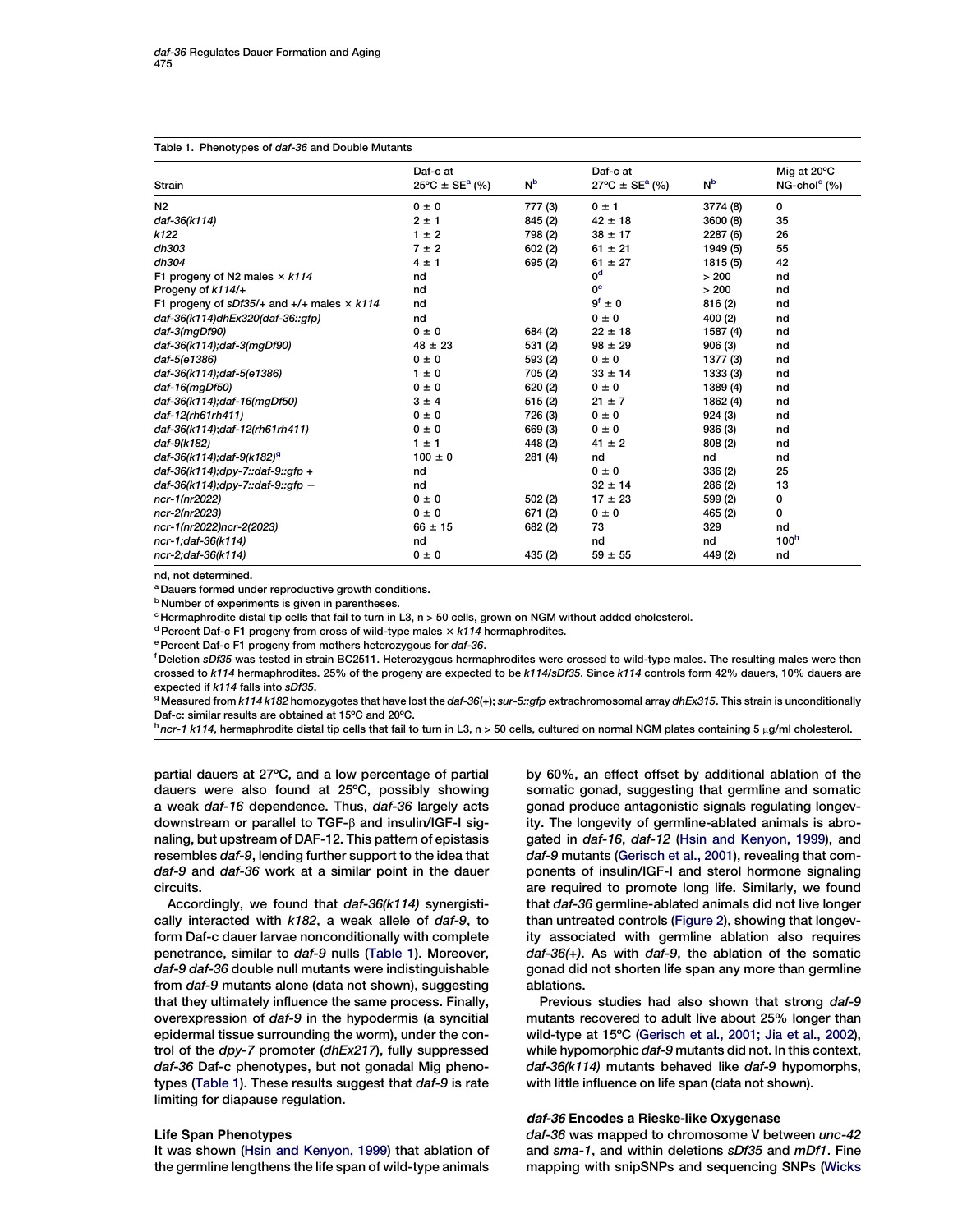#### <span id="page-2-0"></span>Table 1. Phenotypes of daf-36 and Double Mutants

| <b>Strain</b>                                           | Daf-c at<br>$25^{\circ}$ C ± SE <sup>a</sup> (%) | N <sub>p</sub> | Daf-c at<br>$27^{\circ}C \pm SE^{a}$ (%) | N <sub>b</sub> | Mig at 20°C<br>$NG$ -chol $^{\circ}$ (%) |
|---------------------------------------------------------|--------------------------------------------------|----------------|------------------------------------------|----------------|------------------------------------------|
| N <sub>2</sub>                                          | $0 \pm 0$                                        | 777 (3)        | $0 \pm 1$                                | 3774 (8)       | 0                                        |
| daf-36(k114)                                            | $2 \pm 1$                                        | 845 (2)        | $42 \pm 18$                              | 3600 (8)       | 35                                       |
| k122                                                    | $1 \pm 2$                                        | 798 (2)        | $38 \pm 17$                              | 2287 (6)       | 26                                       |
| dh303                                                   | $7 \pm 2$                                        | 602(2)         | $61 \pm 21$                              | 1949 (5)       | 55                                       |
| dh304                                                   | $4 \pm 1$                                        | 695 (2)        | $61 \pm 27$                              | 1815 (5)       | 42                                       |
| F1 progeny of N2 males $\times$ k114                    | nd                                               |                | 0 <sup>d</sup>                           | > 200          | nd                                       |
| Progeny of k114/+                                       | nd                                               |                | 0 <sup>e</sup>                           | > 200          | nd                                       |
| F1 progeny of $sDf35/4$ and $+/-$ males $\times$ $k114$ | nd                                               |                | $9^f \pm 0$                              | 816 (2)        | nd                                       |
| daf-36(k114)dhEx320(daf-36::gfp)                        | nd                                               |                | $0 \pm 0$                                | 400 (2)        | nd                                       |
| $daf-3(mgDf90)$                                         | $0 \pm 0$                                        | 684 (2)        | $22 \pm 18$                              | 1587 (4)       | nd                                       |
| daf-36(k114); daf-3(mgDf90)                             | $48 \pm 23$                                      | 531 (2)        | $98 \pm 29$                              | 906(3)         | nd                                       |
| daf-5(e1386)                                            | $0 \pm 0$                                        | 593 (2)        | $0 \pm 0$                                | 1377 (3)       | nd                                       |
| daf-36(k114); daf-5(e1386)                              | $1 \pm 0$                                        | 705 (2)        | $33 \pm 14$                              | 1333 (3)       | nd                                       |
| daf-16(mgDf50)                                          | $0 \pm 0$                                        | 620 (2)        | $0 \pm 0$                                | 1389 (4)       | nd                                       |
| daf-36(k114); daf-16(mgDf50)                            | $3 \pm 4$                                        | 515(2)         | $21 \pm 7$                               | 1862 (4)       | nd                                       |
| daf-12(rh61rh411)                                       | $0 \pm 0$                                        | 726 (3)        | $0 \pm 0$                                | 924(3)         | nd                                       |
| daf-36(k114);daf-12(rh61rh411)                          | $0 \pm 0$                                        | 669 (3)        | $0 \pm 0$                                | 936 (3)        | nd                                       |
| daf-9(k182)                                             | $1 \pm 1$                                        | 448 (2)        | $41 \pm 2$                               | 808 (2)        | nd                                       |
| daf-36(k114);daf-9(k182) <sup>9</sup>                   | $100 \pm 0$                                      | 281(4)         | nd                                       | nd             | nd                                       |
| daf-36(k114);dpy-7::daf-9::gfp +                        | nd                                               |                | $0 \pm 0$                                | 336(2)         | 25                                       |
| daf-36(k114);dpy-7::daf-9::gfp -                        | nd                                               |                | $32 \pm 14$                              | 286 (2)        | 13                                       |
| ncr-1(nr2022)                                           | $0 \pm 0$                                        | 502(2)         | $17 \pm 23$                              | 599 (2)        | 0                                        |
| ncr-2(nr2023)                                           | $0 \pm 0$                                        | 671(2)         | $0 \pm 0$                                | 465 (2)        | 0                                        |
| ncr-1(nr2022)ncr-2(2023)                                | $66 \pm 15$                                      | 682 (2)        | 73                                       | 329            | nd                                       |
| ncr-1;daf-36(k114)                                      | nd                                               |                | nd                                       | nd             | 100 <sup>h</sup>                         |
| ncr-2;daf-36(k114)                                      | $0 \pm 0$                                        | 435 (2)        | $59 \pm 55$                              | 449 (2)        | nd                                       |

nd, not determined.

<sup>a</sup> Dauers formed under reproductive growth conditions.

**b** Number of experiments is given in parentheses.

 $c$  Hermaphrodite distal tip cells that fail to turn in L3, n > 50 cells, grown on NGM without added cholesterol.

<sup>d</sup> Percent Daf-c F1 progeny from cross of wild-type males  $\times$  k114 hermaphrodites.

e Percent Daf-c F1 progeny from mothers heterozygous for daf-36.

<sup>f</sup> Deletion *sDf35* was tested in strain BC2511. Heterozygous hermaphrodites were crossed to wild-type males. The resulting males were then crossed to k114 hermaphrodites. 25% of the progeny are expected to be k114/sDf35. Since k114 controls form 42% dauers, 10% dauers are expected if k114 falls into sDf35.

<sup>g</sup> Measured from k114 k182 homozygotes that have lost the daf-36(+); sur-5::gfp extrachromosomal array dhEx315. This strain is unconditionally Daf-c: similar results are obtained at 15ºC and 20ºC.

 $h$  ncr-1 k114, hermaphrodite distal tip cells that fail to turn in L3, n > 50 cells, cultured on normal NGM plates containing 5 µg/ml cholesterol.

partial dauers at 27ºC, and a low percentage of partial dauers were also found at 25ºC, possibly showing a weak daf-16 dependence. Thus, daf-36 largely acts downstream or parallel to TGF- $\beta$  and insulin/IGF-I signaling, but upstream of DAF-12. This pattern of epistasis resembles daf-9, lending further support to the idea that daf-9 and daf-36 work at a similar point in the dauer circuits.

Accordingly, we found that daf-36(k114) synergistically interacted with k182, a weak allele of daf-9, to form Daf-c dauer larvae nonconditionally with complete penetrance, similar to daf-9 nulls (Table 1). Moreover, daf-9 daf-36 double null mutants were indistinguishable from daf-9 mutants alone (data not shown), suggesting that they ultimately influence the same process. Finally, overexpression of daf-9 in the hypodermis (a syncitial epidermal tissue surrounding the worm), under the control of the dpy-7 promoter (dhEx217), fully suppressed daf-36 Daf-c phenotypes, but not gonadal Mig phenotypes (Table 1). These results suggest that daf-9 is rate limiting for diapause regulation.

## Life Span Phenotypes

It was shown [\(Hsin and Kenyon, 1999\)](#page-9-0) that ablation of the germline lengthens the life span of wild-type animals

by 60%, an effect offset by additional ablation of the somatic gonad, suggesting that germline and somatic gonad produce antagonistic signals regulating longevity. The longevity of germline-ablated animals is abro-gated in daf-16, daf-12 ([Hsin and Kenyon, 1999](#page-9-0)), and daf-9 mutants [\(Gerisch et al., 2001](#page-9-0)), revealing that components of insulin/IGF-I and sterol hormone signaling are required to promote long life. Similarly, we found that daf-36 germline-ablated animals did not live longer than untreated controls ([Figure 2](#page-3-0)), showing that longevity associated with germline ablation also requires daf-36(+). As with daf-9, the ablation of the somatic gonad did not shorten life span any more than germline ablations.

Previous studies had also shown that strong daf-9 mutants recovered to adult live about 25% longer than wild-type at 15ºC ([Gerisch et al., 2001; Jia et al., 2002\)](#page-9-0), while hypomorphic daf-9 mutants did not. In this context, daf-36(k114) mutants behaved like daf-9 hypomorphs, with little influence on life span (data not shown).

## daf-36 Encodes a Rieske-like Oxygenase

daf-36 was mapped to chromosome V between unc-42 and sma-1, and within deletions sDf35 and mDf1. Fine mapping with snipSNPs and sequencing SNPs ([Wicks](#page-9-0)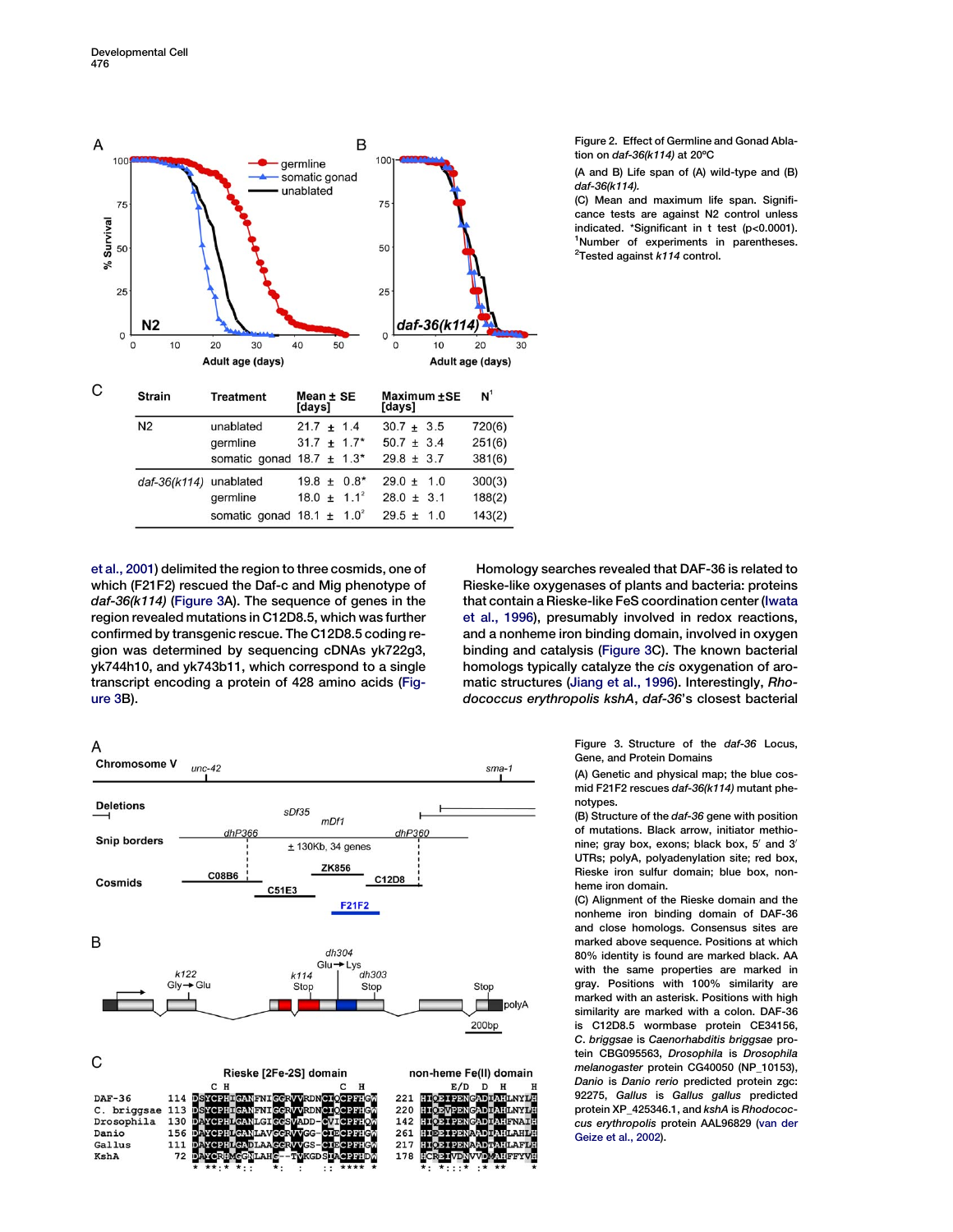<span id="page-3-0"></span>

[et al., 2001](#page-9-0)) delimited the region to three cosmids, one of which (F21F2) rescued the Daf-c and Mig phenotype of daf-36(k114) (Figure 3A). The sequence of genes in the region revealed mutations in C12D8.5, which was further confirmed by transgenic rescue. The C12D8.5 coding region was determined by sequencing cDNAs yk722g3, yk744h10, and yk743b11, which correspond to a single transcript encoding a protein of 428 amino acids (Figure 3B).



Figure 3. Structure of the daf-36 Locus, Gene, and Protein Domains

(A) Genetic and physical map; the blue cosmid F21F2 rescues daf-36(k114) mutant phenotypes.

(B) Structure of the daf-36 gene with position of mutations. Black arrow, initiator methionine; gray box, exons; black box,  $5'$  and  $3'$ UTRs; polyA, polyadenylation site; red box, Rieske iron sulfur domain; blue box, nonheme iron domain.

(C) Alignment of the Rieske domain and the nonheme iron binding domain of DAF-36 and close homologs. Consensus sites are marked above sequence. Positions at which 80% identity is found are marked black. AA with the same properties are marked in gray. Positions with 100% similarity are marked with an asterisk. Positions with high similarity are marked with a colon. DAF-36 is C12D8.5 wormbase protein CE34156, C. briggsae is Caenorhabditis briggsae protein CBG095563, Drosophila is Drosophila melanogaster protein CG40050 (NP\_10153), Danio is Danio rerio predicted protein zgc: 92275, Gallus is Gallus gallus predicted protein XP\_425346.1, and kshA is Rhodococcus erythropolis protein AAL96829 ([van der](#page-9-0) [Geize et al., 2002](#page-9-0)).



Danio

Gallus

KshA

156

111

72



261

217

178

Figure 2. Effect of Germline and Gonad Ablation on daf-36(k114) at 20ºC

(A and B) Life span of (A) wild-type and (B) daf-36(k114).

(C) Mean and maximum life span. Significance tests are against N2 control unless indicated. \*Significant in t test (p<0.0001). <sup>1</sup>Number of experiments in parentheses. <sup>2</sup>Tested against  $k114$  control.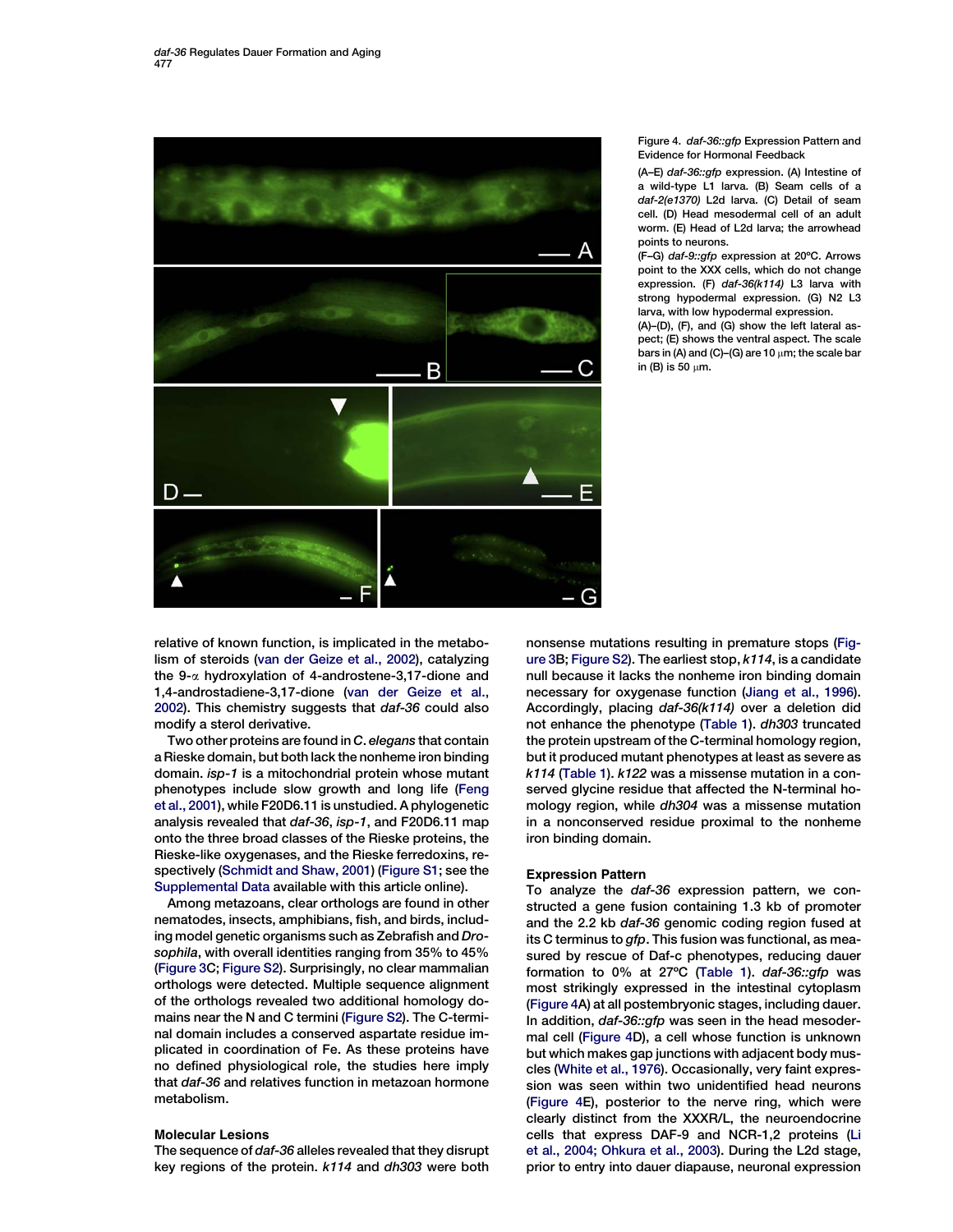<span id="page-4-0"></span>

# Figure 4. daf-36::gfp Expression Pattern and Evidence for Hormonal Feedback

(A–E) daf-36::gfp expression. (A) Intestine of a wild-type L1 larva. (B) Seam cells of a daf-2(e1370) L2d larva. (C) Detail of seam cell. (D) Head mesodermal cell of an adult worm. (E) Head of L2d larva; the arrowhead points to neurons.

(F–G) daf-9::gfp expression at 20ºC. Arrows point to the XXX cells, which do not change expression. (F) daf-36(k114) L3 larva with strong hypodermal expression. (G) N2 L3 larva, with low hypodermal expression.

(A)–(D), (F), and (G) show the left lateral aspect; (E) shows the ventral aspect. The scale bars in (A) and (C)–(G) are 10  $\mu$ m; the scale bar in (B) is 50  $\mu$ m.

relative of known function, is implicated in the metabolism of steroids ([van der Geize et al., 2002](#page-9-0)), catalyzing the 9-a hydroxylation of 4-androstene-3,17-dione and 1,4-androstadiene-3,17-dione [\(van der Geize et al.,](#page-9-0) [2002\)](#page-9-0). This chemistry suggests that daf-36 could also modify a sterol derivative.

Two other proteins are found in C. elegans that contain a Rieske domain, but both lack the nonheme iron binding domain. isp-1 is a mitochondrial protein whose mutant phenotypes include slow growth and long life ([Feng](#page-9-0) [et al., 2001\)](#page-9-0), while F20D6.11 is unstudied. A phylogenetic analysis revealed that daf-36, isp-1, and F20D6.11 map onto the three broad classes of the Rieske proteins, the Rieske-like oxygenases, and the Rieske ferredoxins, respectively ([Schmidt and Shaw, 2001\)](#page-9-0) [\(Figure S1;](#page-8-0) see the [Supplemental Data](#page-8-0) available with this article online).

Among metazoans, clear orthologs are found in other nematodes, insects, amphibians, fish, and birds, including model genetic organisms such as Zebrafish and Drosophila, with overall identities ranging from 35% to 45% ([Figure 3C](#page-3-0); [Figure S2](#page-8-0)). Surprisingly, no clear mammalian orthologs were detected. Multiple sequence alignment of the orthologs revealed two additional homology domains near the N and C termini ([Figure S2\)](#page-8-0). The C-terminal domain includes a conserved aspartate residue implicated in coordination of Fe. As these proteins have no defined physiological role, the studies here imply that daf-36 and relatives function in metazoan hormone metabolism.

## Molecular Lesions

The sequence of daf-36 alleles revealed that they disrupt key regions of the protein. k114 and dh303 were both

nonsense mutations resulting in premature stops [\(Fig](#page-3-0)[ure 3](#page-3-0)B; [Figure S2\)](#page-8-0). The earliest stop, k114, is a candidate null because it lacks the nonheme iron binding domain necessary for oxygenase function [\(Jiang et al., 1996\)](#page-9-0). Accordingly, placing daf-36(k114) over a deletion did not enhance the phenotype [\(Table 1](#page-2-0)). dh303 truncated the protein upstream of the C-terminal homology region, but it produced mutant phenotypes at least as severe as k114 [\(Table 1](#page-2-0)). k122 was a missense mutation in a conserved glycine residue that affected the N-terminal homology region, while dh304 was a missense mutation in a nonconserved residue proximal to the nonheme iron binding domain.

## Expression Pattern

To analyze the daf-36 expression pattern, we constructed a gene fusion containing 1.3 kb of promoter and the 2.2 kb daf-36 genomic coding region fused at its C terminus to gfp. This fusion was functional, as measured by rescue of Daf-c phenotypes, reducing dauer formation to 0% at 27ºC [\(Table 1\)](#page-2-0). daf-36::gfp was most strikingly expressed in the intestinal cytoplasm (Figure 4A) at all postembryonic stages, including dauer. In addition, daf-36::gfp was seen in the head mesodermal cell (Figure 4D), a cell whose function is unknown but which makes gap junctions with adjacent body muscles [\(White et al., 1976\)](#page-9-0). Occasionally, very faint expression was seen within two unidentified head neurons (Figure 4E), posterior to the nerve ring, which were clearly distinct from the XXXR/L, the neuroendocrine cells that express DAF-9 and NCR-1,2 proteins ([Li](#page-9-0) [et al., 2004; Ohkura et al., 2003\)](#page-9-0). During the L2d stage, prior to entry into dauer diapause, neuronal expression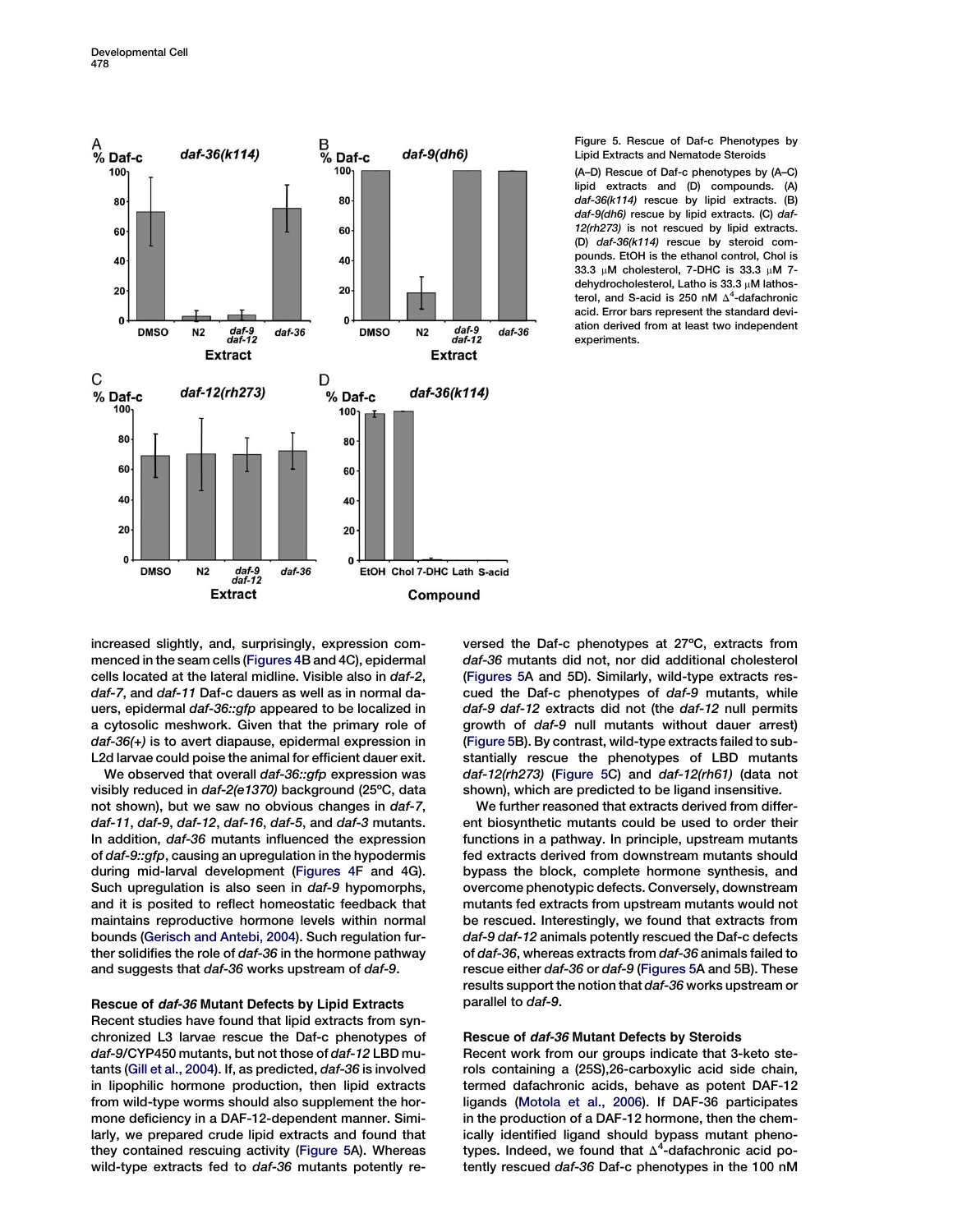<span id="page-5-0"></span>

## Figure 5. Rescue of Daf-c Phenotypes by Lipid Extracts and Nematode Steroids

(A–D) Rescue of Daf-c phenotypes by (A–C) lipid extracts and (D) compounds. (A) daf-36(k114) rescue by lipid extracts. (B) daf-9(dh6) rescue by lipid extracts. (C) daf-12(rh273) is not rescued by lipid extracts. (D) daf-36(k114) rescue by steroid compounds. EtOH is the ethanol control, Chol is 33.3  $\mu$ M cholesterol, 7-DHC is 33.3  $\mu$ M 7dehydrocholesterol, Latho is  $33.3 \mu$ M lathosterol, and S-acid is 250 nM  $\Delta^4$ -dafachronic acid. Error bars represent the standard deviation derived from at least two independent experiments.

increased slightly, and, surprisingly, expression commenced in the seam cells ([Figures 4B](#page-4-0) and 4C), epidermal cells located at the lateral midline. Visible also in daf-2, daf-7, and daf-11 Daf-c dauers as well as in normal dauers, epidermal daf-36::gfp appeared to be localized in a cytosolic meshwork. Given that the primary role of daf-36(+) is to avert diapause, epidermal expression in L2d larvae could poise the animal for efficient dauer exit.

We observed that overall daf-36::gfp expression was visibly reduced in daf-2(e1370) background (25ºC, data not shown), but we saw no obvious changes in daf-7, daf-11, daf-9, daf-12, daf-16, daf-5, and daf-3 mutants. In addition, daf-36 mutants influenced the expression of daf-9::gfp, causing an upregulation in the hypodermis during mid-larval development ([Figures 4](#page-4-0)F and 4G). Such upregulation is also seen in daf-9 hypomorphs, and it is posited to reflect homeostatic feedback that maintains reproductive hormone levels within normal bounds ([Gerisch and Antebi, 2004](#page-9-0)). Such regulation further solidifies the role of daf-36 in the hormone pathway and suggests that daf-36 works upstream of daf-9.

# Rescue of daf-36 Mutant Defects by Lipid Extracts

Recent studies have found that lipid extracts from synchronized L3 larvae rescue the Daf-c phenotypes of daf-9/CYP450 mutants, but not those of daf-12 LBD mutants [\(Gill et al., 2004\)](#page-9-0). If, as predicted, daf-36 is involved in lipophilic hormone production, then lipid extracts from wild-type worms should also supplement the hormone deficiency in a DAF-12-dependent manner. Similarly, we prepared crude lipid extracts and found that they contained rescuing activity (Figure 5A). Whereas wild-type extracts fed to daf-36 mutants potently reversed the Daf-c phenotypes at 27ºC, extracts from daf-36 mutants did not, nor did additional cholesterol (Figures 5A and 5D). Similarly, wild-type extracts rescued the Daf-c phenotypes of daf-9 mutants, while daf-9 daf-12 extracts did not (the daf-12 null permits growth of daf-9 null mutants without dauer arrest) (Figure 5B). By contrast, wild-type extracts failed to substantially rescue the phenotypes of LBD mutants daf-12(rh273) (Figure 5C) and daf-12(rh61) (data not shown), which are predicted to be ligand insensitive.

We further reasoned that extracts derived from different biosynthetic mutants could be used to order their functions in a pathway. In principle, upstream mutants fed extracts derived from downstream mutants should bypass the block, complete hormone synthesis, and overcome phenotypic defects. Conversely, downstream mutants fed extracts from upstream mutants would not be rescued. Interestingly, we found that extracts from daf-9 daf-12 animals potently rescued the Daf-c defects of daf-36, whereas extracts from daf-36 animals failed to rescue either daf-36 or daf-9 (Figures 5A and 5B). These results support the notion that daf-36 works upstream or parallel to daf-9.

# Rescue of daf-36 Mutant Defects by Steroids

Recent work from our groups indicate that 3-keto sterols containing a (25S),26-carboxylic acid side chain, termed dafachronic acids, behave as potent DAF-12 ligands [\(Motola et al., 2006\)](#page-9-0). If DAF-36 participates in the production of a DAF-12 hormone, then the chemically identified ligand should bypass mutant phenotypes. Indeed, we found that  $\Delta^4$ -dafachronic acid potently rescued daf-36 Daf-c phenotypes in the 100 nM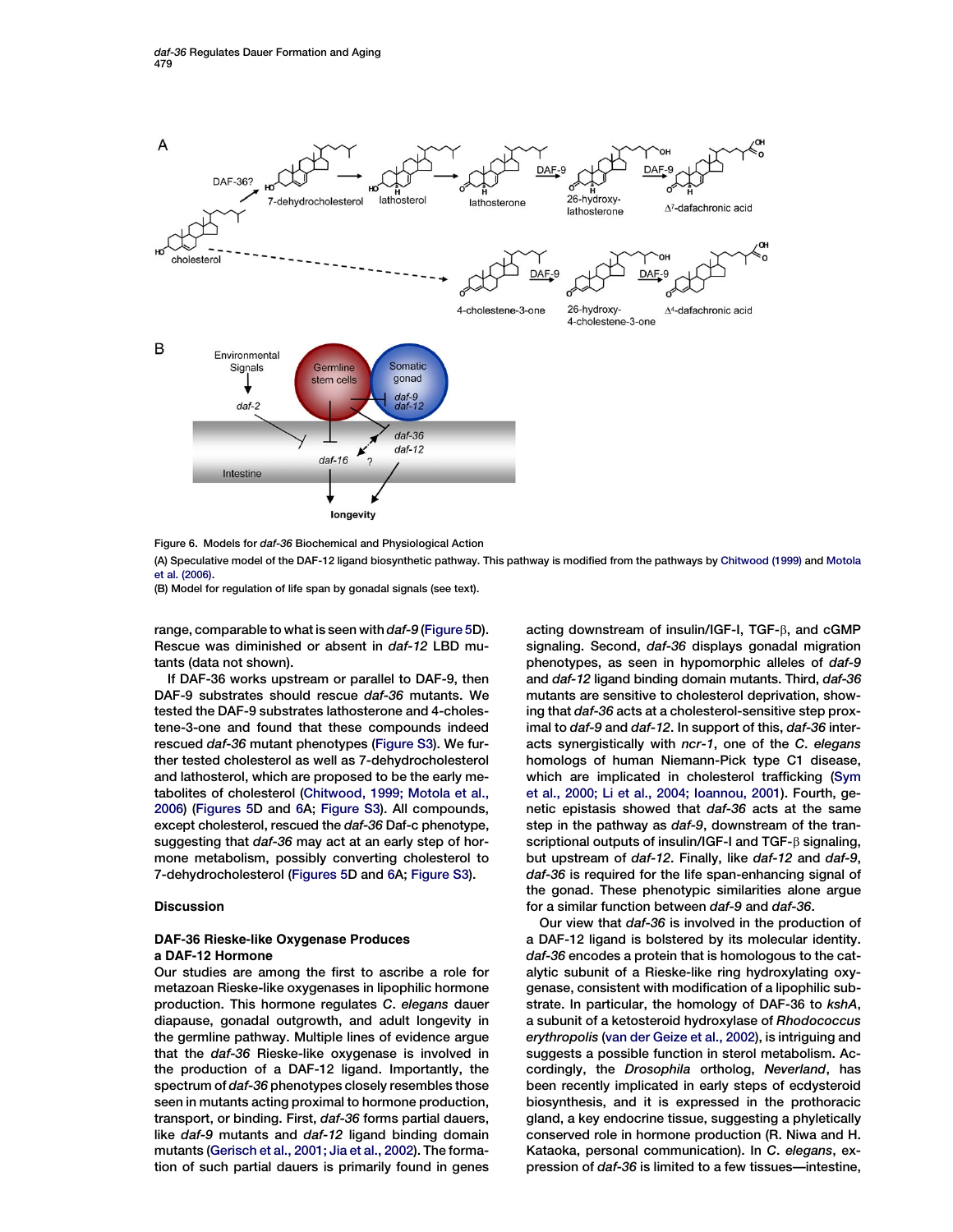<span id="page-6-0"></span>

Figure 6. Models for daf-36 Biochemical and Physiological Action

(A) Speculative model of the DAF-12 ligand biosynthetic pathway. This pathway is modified from the pathways by [Chitwood \(1999\)](#page-9-0) and [Motola](#page-9-0) [et al. \(2006\)](#page-9-0).

(B) Model for regulation of life span by gonadal signals (see text).

range, comparable to what is seen with daf-9 ([Figure 5D](#page-5-0)). Rescue was diminished or absent in daf-12 LBD mutants (data not shown).

If DAF-36 works upstream or parallel to DAF-9, then DAF-9 substrates should rescue daf-36 mutants. We tested the DAF-9 substrates lathosterone and 4-cholestene-3-one and found that these compounds indeed rescued daf-36 mutant phenotypes [\(Figure S3](#page-8-0)). We further tested cholesterol as well as 7-dehydrocholesterol and lathosterol, which are proposed to be the early metabolites of cholesterol [\(Chitwood, 1999; Motola et al.,](#page-9-0) [2006\)](#page-9-0) ([Figures 5D](#page-5-0) and 6A; [Figure S3](#page-8-0)). All compounds, except cholesterol, rescued the daf-36 Daf-c phenotype, suggesting that daf-36 may act at an early step of hormone metabolism, possibly converting cholesterol to 7-dehydrocholesterol [\(Figures 5D](#page-5-0) and 6A; [Figure S3](#page-8-0)).

## Discussion

# DAF-36 Rieske-like Oxygenase Produces a DAF-12 Hormone

Our studies are among the first to ascribe a role for metazoan Rieske-like oxygenases in lipophilic hormone production. This hormone regulates C. elegans dauer diapause, gonadal outgrowth, and adult longevity in the germline pathway. Multiple lines of evidence argue that the daf-36 Rieske-like oxygenase is involved in the production of a DAF-12 ligand. Importantly, the spectrum of daf-36 phenotypes closely resembles those seen in mutants acting proximal to hormone production, transport, or binding. First, daf-36 forms partial dauers, like daf-9 mutants and daf-12 ligand binding domain mutants [\(Gerisch et al., 2001; Jia et al., 2002\)](#page-9-0). The formation of such partial dauers is primarily found in genes acting downstream of insulin/IGF-I, TGF- $\beta$ , and cGMP signaling. Second, daf-36 displays gonadal migration phenotypes, as seen in hypomorphic alleles of daf-9 and daf-12 ligand binding domain mutants. Third, daf-36 mutants are sensitive to cholesterol deprivation, showing that daf-36 acts at a cholesterol-sensitive step proximal to daf-9 and daf-12. In support of this, daf-36 interacts synergistically with ncr-1, one of the C. elegans homologs of human Niemann-Pick type C1 disease, which are implicated in cholesterol trafficking [\(Sym](#page-9-0) [et al., 2000; Li et al., 2004; Ioannou, 2001\)](#page-9-0). Fourth, genetic epistasis showed that daf-36 acts at the same step in the pathway as daf-9, downstream of the transcriptional outputs of insulin/IGF-I and  $TGF-\beta$  signaling, but upstream of daf-12. Finally, like daf-12 and daf-9, daf-36 is required for the life span-enhancing signal of the gonad. These phenotypic similarities alone argue for a similar function between daf-9 and daf-36.

Our view that daf-36 is involved in the production of a DAF-12 ligand is bolstered by its molecular identity. daf-36 encodes a protein that is homologous to the catalytic subunit of a Rieske-like ring hydroxylating oxygenase, consistent with modification of a lipophilic substrate. In particular, the homology of DAF-36 to kshA, a subunit of a ketosteroid hydroxylase of Rhodococcus erythropolis [\(van der Geize et al., 2002](#page-9-0)), is intriguing and suggests a possible function in sterol metabolism. Accordingly, the Drosophila ortholog, Neverland, has been recently implicated in early steps of ecdysteroid biosynthesis, and it is expressed in the prothoracic gland, a key endocrine tissue, suggesting a phyletically conserved role in hormone production (R. Niwa and H. Kataoka, personal communication). In C. elegans, expression of daf-36 is limited to a few tissues—intestine,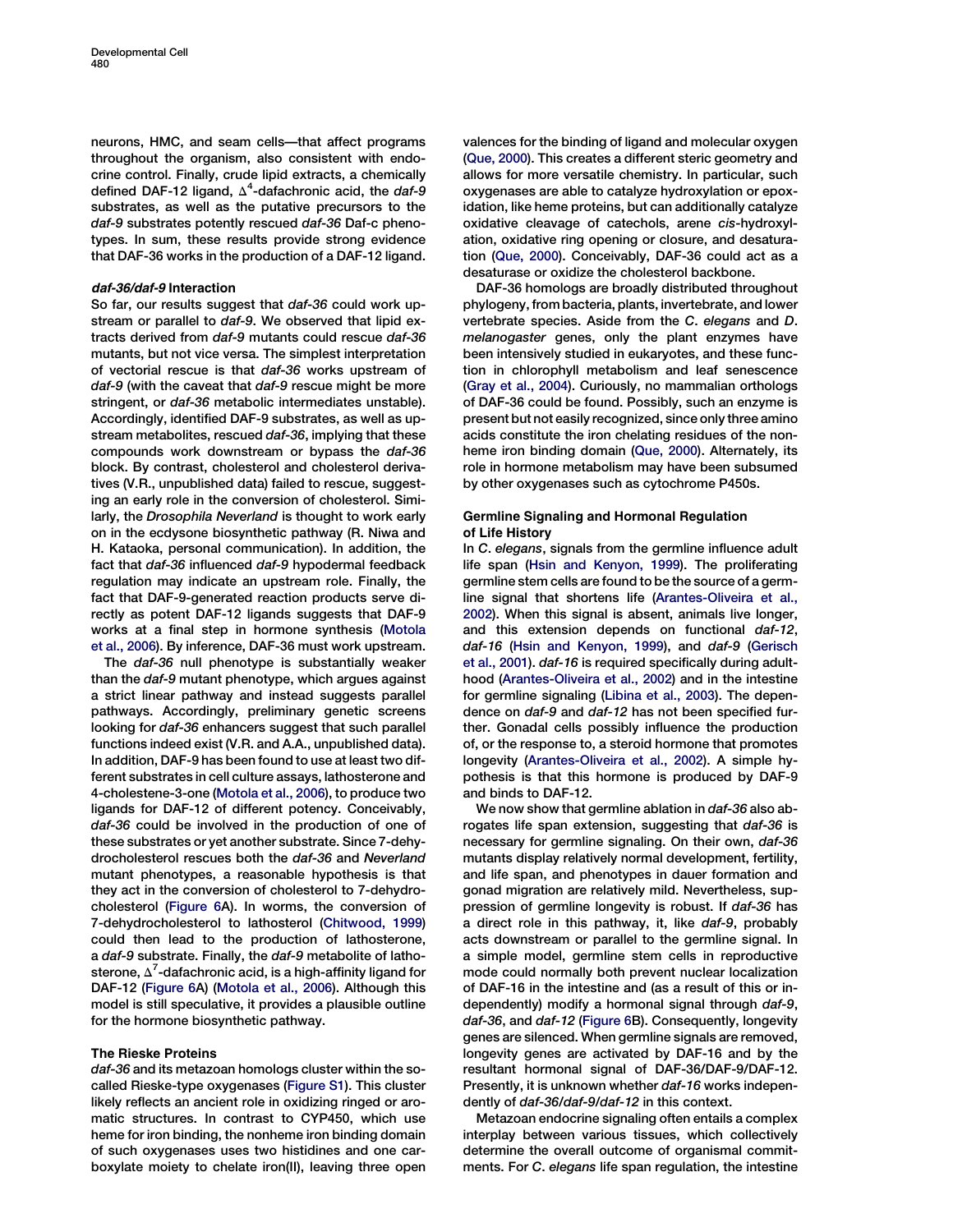neurons, HMC, and seam cells—that affect programs throughout the organism, also consistent with endocrine control. Finally, crude lipid extracts, a chemically defined DAF-12 ligand,  $\Delta^4$ -dafachronic acid, the daf-9 substrates, as well as the putative precursors to the daf-9 substrates potently rescued daf-36 Daf-c phenotypes. In sum, these results provide strong evidence that DAF-36 works in the production of a DAF-12 ligand.

# daf-36/daf-9 Interaction

So far, our results suggest that daf-36 could work upstream or parallel to daf-9. We observed that lipid extracts derived from daf-9 mutants could rescue daf-36 mutants, but not vice versa. The simplest interpretation of vectorial rescue is that daf-36 works upstream of daf-9 (with the caveat that daf-9 rescue might be more stringent, or daf-36 metabolic intermediates unstable). Accordingly, identified DAF-9 substrates, as well as upstream metabolites, rescued daf-36, implying that these compounds work downstream or bypass the daf-36 block. By contrast, cholesterol and cholesterol derivatives (V.R., unpublished data) failed to rescue, suggesting an early role in the conversion of cholesterol. Similarly, the Drosophila Neverland is thought to work early on in the ecdysone biosynthetic pathway (R. Niwa and H. Kataoka, personal communication). In addition, the fact that daf-36 influenced daf-9 hypodermal feedback regulation may indicate an upstream role. Finally, the fact that DAF-9-generated reaction products serve directly as potent DAF-12 ligands suggests that DAF-9 works at a final step in hormone synthesis ([Motola](#page-9-0) [et al., 2006](#page-9-0)). By inference, DAF-36 must work upstream.

The daf-36 null phenotype is substantially weaker than the daf-9 mutant phenotype, which argues against a strict linear pathway and instead suggests parallel pathways. Accordingly, preliminary genetic screens looking for daf-36 enhancers suggest that such parallel functions indeed exist (V.R. and A.A., unpublished data). In addition, DAF-9 has been found to use at least two different substrates in cell culture assays, lathosterone and 4-cholestene-3-one [\(Motola et al., 2006\)](#page-9-0), to produce two ligands for DAF-12 of different potency. Conceivably, daf-36 could be involved in the production of one of these substrates or yet another substrate. Since 7-dehydrocholesterol rescues both the daf-36 and Neverland mutant phenotypes, a reasonable hypothesis is that they act in the conversion of cholesterol to 7-dehydrocholesterol ([Figure 6](#page-6-0)A). In worms, the conversion of 7-dehydrocholesterol to lathosterol ([Chitwood, 1999](#page-9-0)) could then lead to the production of lathosterone, a daf-9 substrate. Finally, the daf-9 metabolite of lathosterone,  $\Delta^7$ -dafachronic acid, is a high-affinity ligand for DAF-12 [\(Figure 6A](#page-6-0)) [\(Motola et al., 2006\)](#page-9-0). Although this model is still speculative, it provides a plausible outline for the hormone biosynthetic pathway.

# The Rieske Proteins

daf-36 and its metazoan homologs cluster within the socalled Rieske-type oxygenases ([Figure S1\)](#page-8-0). This cluster likely reflects an ancient role in oxidizing ringed or aromatic structures. In contrast to CYP450, which use heme for iron binding, the nonheme iron binding domain of such oxygenases uses two histidines and one carboxylate moiety to chelate iron(II), leaving three open valences for the binding of ligand and molecular oxygen [\(Que, 2000\)](#page-9-0). This creates a different steric geometry and allows for more versatile chemistry. In particular, such oxygenases are able to catalyze hydroxylation or epoxidation, like heme proteins, but can additionally catalyze oxidative cleavage of catechols, arene cis-hydroxylation, oxidative ring opening or closure, and desaturation [\(Que, 2000\)](#page-9-0). Conceivably, DAF-36 could act as a desaturase or oxidize the cholesterol backbone.

DAF-36 homologs are broadly distributed throughout phylogeny, from bacteria, plants, invertebrate, and lower vertebrate species. Aside from the C. elegans and D. melanogaster genes, only the plant enzymes have been intensively studied in eukaryotes, and these function in chlorophyll metabolism and leaf senescence [\(Gray et al., 2004\)](#page-9-0). Curiously, no mammalian orthologs of DAF-36 could be found. Possibly, such an enzyme is present but not easily recognized, since only three amino acids constitute the iron chelating residues of the nonheme iron binding domain ([Que, 2000](#page-9-0)). Alternately, its role in hormone metabolism may have been subsumed by other oxygenases such as cytochrome P450s.

# Germline Signaling and Hormonal Regulation of Life History

In C. elegans, signals from the germline influence adult life span ([Hsin and Kenyon, 1999](#page-9-0)). The proliferating germline stem cells are found to be the source of a germline signal that shortens life ([Arantes-Oliveira et al.,](#page-9-0) [2002](#page-9-0)). When this signal is absent, animals live longer, and this extension depends on functional daf-12, daf-16 ([Hsin and Kenyon, 1999\)](#page-9-0), and daf-9 ([Gerisch](#page-9-0) [et al., 2001\)](#page-9-0). daf-16 is required specifically during adulthood ([Arantes-Oliveira et al., 2002\)](#page-9-0) and in the intestine for germline signaling ([Libina et al., 2003](#page-9-0)). The dependence on daf-9 and daf-12 has not been specified further. Gonadal cells possibly influence the production of, or the response to, a steroid hormone that promotes longevity [\(Arantes-Oliveira et al., 2002\)](#page-9-0). A simple hypothesis is that this hormone is produced by DAF-9 and binds to DAF-12.

We now show that germline ablation in daf-36 also abrogates life span extension, suggesting that daf-36 is necessary for germline signaling. On their own, daf-36 mutants display relatively normal development, fertility, and life span, and phenotypes in dauer formation and gonad migration are relatively mild. Nevertheless, suppression of germline longevity is robust. If daf-36 has a direct role in this pathway, it, like daf-9, probably acts downstream or parallel to the germline signal. In a simple model, germline stem cells in reproductive mode could normally both prevent nuclear localization of DAF-16 in the intestine and (as a result of this or independently) modify a hormonal signal through daf-9, daf-36, and daf-12 [\(Figure 6B](#page-6-0)). Consequently, longevity genes are silenced. When germline signals are removed, longevity genes are activated by DAF-16 and by the resultant hormonal signal of DAF-36/DAF-9/DAF-12. Presently, it is unknown whether daf-16 works independently of daf-36/daf-9/daf-12 in this context.

Metazoan endocrine signaling often entails a complex interplay between various tissues, which collectively determine the overall outcome of organismal commitments. For C. elegans life span regulation, the intestine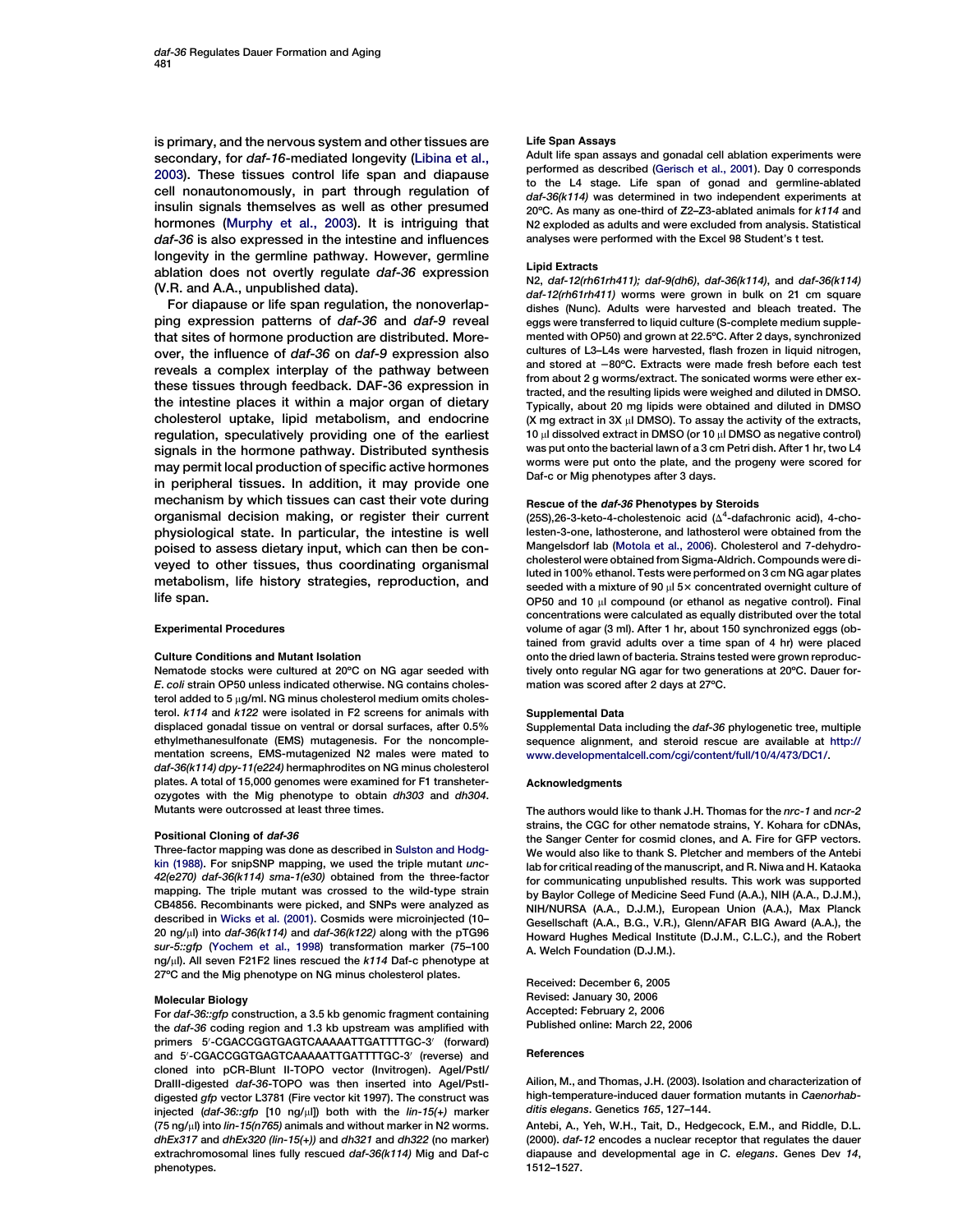<span id="page-8-0"></span>is primary, and the nervous system and other tissues are secondary, for daf-16-mediated longevity [\(Libina et al.,](#page-9-0) [2003\)](#page-9-0). These tissues control life span and diapause cell nonautonomously, in part through regulation of insulin signals themselves as well as other presumed hormones ([Murphy et al., 2003](#page-9-0)). It is intriguing that daf-36 is also expressed in the intestine and influences longevity in the germline pathway. However, germline ablation does not overtly regulate daf-36 expression (V.R. and A.A., unpublished data).

For diapause or life span regulation, the nonoverlapping expression patterns of daf-36 and daf-9 reveal that sites of hormone production are distributed. Moreover, the influence of daf-36 on daf-9 expression also reveals a complex interplay of the pathway between these tissues through feedback. DAF-36 expression in the intestine places it within a major organ of dietary cholesterol uptake, lipid metabolism, and endocrine regulation, speculatively providing one of the earliest signals in the hormone pathway. Distributed synthesis may permit local production of specific active hormones in peripheral tissues. In addition, it may provide one mechanism by which tissues can cast their vote during organismal decision making, or register their current physiological state. In particular, the intestine is well poised to assess dietary input, which can then be conveyed to other tissues, thus coordinating organismal metabolism, life history strategies, reproduction, and life span.

#### Experimental Procedures

## Culture Conditions and Mutant Isolation

Nematode stocks were cultured at 20ºC on NG agar seeded with E. coli strain OP50 unless indicated otherwise. NG contains cholesterol added to 5  $\mu$ g/ml. NG minus cholesterol medium omits cholesterol. k114 and k122 were isolated in F2 screens for animals with displaced gonadal tissue on ventral or dorsal surfaces, after 0.5% ethylmethanesulfonate (EMS) mutagenesis. For the noncomplementation screens, EMS-mutagenized N2 males were mated to daf-36(k114) dpy-11(e224) hermaphrodites on NG minus cholesterol plates. A total of 15,000 genomes were examined for F1 transheterozygotes with the Mig phenotype to obtain dh303 and dh304. Mutants were outcrossed at least three times.

### Positional Cloning of daf-36

Three-factor mapping was done as described in [Sulston and Hodg](#page-9-0)[kin \(1988\).](#page-9-0) For snipSNP mapping, we used the triple mutant unc-42(e270) daf-36(k114) sma-1(e30) obtained from the three-factor mapping. The triple mutant was crossed to the wild-type strain CB4856. Recombinants were picked, and SNPs were analyzed as described in [Wicks et al. \(2001\).](#page-9-0) Cosmids were microinjected (10– 20 ng/ $\mu$ l) into daf-36(k114) and daf-36(k122) along with the pTG96 sur-5::gfp [\(Yochem et al., 1998\)](#page-9-0) transformation marker (75–100 ng/ $\mu$ l). All seven F21F2 lines rescued the k114 Daf-c phenotype at 27ºC and the Mig phenotype on NG minus cholesterol plates.

## Molecular Biology

For daf-36::gfp construction, a 3.5 kb genomic fragment containing the daf-36 coding region and 1.3 kb upstream was amplified with primers 5'-CGACCGGTGAGTCAAAAATTGATTTTGC-3' (forward) and 5'-CGACCGGTGAGTCAAAAATTGATTTTGC-3' (reverse) and cloned into pCR-Blunt II-TOPO vector (Invitrogen). AgeI/PstI/ DraIII-digested daf-36-TOPO was then inserted into AgeI/PstIdigested gfp vector L3781 (Fire vector kit 1997). The construct was injected (daf-36::gfp [10 ng/ $\mu$ l]) both with the lin-15(+) marker  $(75 \text{ ng/u})$  into *lin-15(n765)* animals and without marker in N2 worms. dhEx317 and dhEx320 (lin-15(+)) and dh321 and dh322 (no marker) extrachromosomal lines fully rescued daf-36(k114) Mig and Daf-c phenotypes.

#### Life Span Assays

Adult life span assays and gonadal cell ablation experiments were performed as described [\(Gerisch et al., 2001\)](#page-9-0). Day 0 corresponds to the L4 stage. Life span of gonad and germline-ablated daf-36(k114) was determined in two independent experiments at 20ºC. As many as one-third of Z2–Z3-ablated animals for k114 and N2 exploded as adults and were excluded from analysis. Statistical analyses were performed with the Excel 98 Student's t test.

### Lipid Extracts

N2, daf-12(rh61rh411); daf-9(dh6), daf-36(k114), and daf-36(k114) daf-12(rh61rh411) worms were grown in bulk on 21 cm square dishes (Nunc). Adults were harvested and bleach treated. The eggs were transferred to liquid culture (S-complete medium supplemented with OP50) and grown at 22.5ºC. After 2 days, synchronized cultures of L3–L4s were harvested, flash frozen in liquid nitrogen, and stored at  $-80^{\circ}$ C. Extracts were made fresh before each test from about 2 g worms/extract. The sonicated worms were ether extracted, and the resulting lipids were weighed and diluted in DMSO. Typically, about 20 mg lipids were obtained and diluted in DMSO  $(X \text{ mg extract in } 3X \text{ µI DMSO})$ . To assay the activity of the extracts,  $10 \mu$ l dissolved extract in DMSO (or 10  $\mu$ l DMSO as negative control) was put onto the bacterial lawn of a 3 cm Petri dish. After 1 hr, two L4 worms were put onto the plate, and the progeny were scored for Daf-c or Mig phenotypes after 3 days.

### Rescue of the daf-36 Phenotypes by Steroids

(25S), 26-3-keto-4-cholestenoic acid ( $\Delta^4$ -dafachronic acid), 4-cholesten-3-one, lathosterone, and lathosterol were obtained from the Mangelsdorf lab ([Motola et al., 2006\)](#page-9-0). Cholesterol and 7-dehydrocholesterol were obtained from Sigma-Aldrich. Compounds were diluted in 100% ethanol. Tests were performed on 3 cm NG agar plates seeded with a mixture of 90  $\mu$ l 5 $\times$  concentrated overnight culture of OP50 and 10  $\mu$ I compound (or ethanol as negative control). Final concentrations were calculated as equally distributed over the total volume of agar (3 ml). After 1 hr, about 150 synchronized eggs (obtained from gravid adults over a time span of 4 hr) were placed onto the dried lawn of bacteria. Strains tested were grown reproductively onto regular NG agar for two generations at 20ºC. Dauer formation was scored after 2 days at 27ºC.

#### Supplemental Data

Supplemental Data including the daf-36 phylogenetic tree, multiple sequence alignment, and steroid rescue are available at [http://](http://www.developmentalcell.com/cgi/content/full/10/4/473/DC1/) [www.developmentalcell.com/cgi/content/full/10/4/473/DC1/.](http://www.developmentalcell.com/cgi/content/full/10/4/473/DC1/)

### Acknowledgments

The authors would like to thank J.H. Thomas for the nrc-1 and ncr-2 strains, the CGC for other nematode strains, Y. Kohara for cDNAs, the Sanger Center for cosmid clones, and A. Fire for GFP vectors. We would also like to thank S. Pletcher and members of the Antebi lab for critical reading of the manuscript, and R. Niwa and H. Kataoka for communicating unpublished results. This work was supported by Baylor College of Medicine Seed Fund (A.A.), NIH (A.A., D.J.M.), NIH/NURSA (A.A., D.J.M.), European Union (A.A.), Max Planck Gesellschaft (A.A., B.G., V.R.), Glenn/AFAR BIG Award (A.A.), the Howard Hughes Medical Institute (D.J.M., C.L.C.), and the Robert A. Welch Foundation (D.J.M.).

Received: December 6, 2005 Revised: January 30, 2006 Accepted: February 2, 2006 Published online: March 22, 2006

#### **References**

Ailion, M., and Thomas, J.H. (2003). Isolation and characterization of high-temperature-induced dauer formation mutants in Caenorhabditis elegans. Genetics 165, 127–144.

Antebi, A., Yeh, W.H., Tait, D., Hedgecock, E.M., and Riddle, D.L. (2000). daf-12 encodes a nuclear receptor that regulates the dauer diapause and developmental age in C. elegans. Genes Dev 14, 1512–1527.